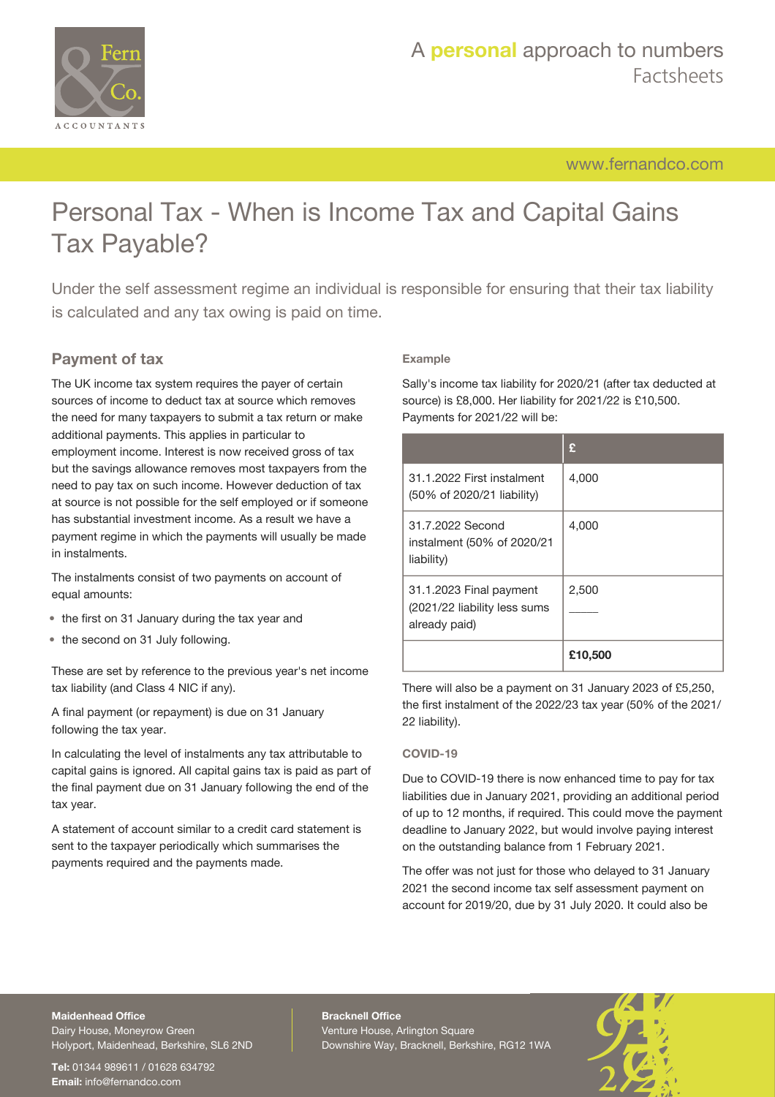

[www.fernandco.com](http://www.fernandco.com)

# Personal Tax - When is Income Tax and Capital Gains Tax Payable?

Under the self assessment regime an individual is responsible for ensuring that their tax liability is calculated and any tax owing is paid on time.

## **Payment of tax**

The UK income tax system requires the payer of certain sources of income to deduct tax at source which removes the need for many taxpayers to submit a tax return or make additional payments. This applies in particular to employment income. Interest is now received gross of tax but the savings allowance removes most taxpayers from the need to pay tax on such income. However deduction of tax at source is not possible for the self employed or if someone has substantial investment income. As a result we have a payment regime in which the payments will usually be made in instalments.

The instalments consist of two payments on account of equal amounts:

- the first on 31 January during the tax year and
- the second on 31 July following.

These are set by reference to the previous year's net income tax liability (and Class 4 NIC if any).

A final payment (or repayment) is due on 31 January following the tax year.

In calculating the level of instalments any tax attributable to capital gains is ignored. All capital gains tax is paid as part of the final payment due on 31 January following the end of the tax year.

A statement of account similar to a credit card statement is sent to the taxpayer periodically which summarises the payments required and the payments made.

#### **Example**

Sally's income tax liability for 2020/21 (after tax deducted at source) is £8,000. Her liability for 2021/22 is £10,500. Payments for 2021/22 will be:

|                                                                          | £       |
|--------------------------------------------------------------------------|---------|
| 31.1.2022 First instalment<br>(50% of 2020/21 liability)                 | 4,000   |
| 31.7.2022 Second<br>instalment (50% of 2020/21<br>liability)             | 4,000   |
| 31.1.2023 Final payment<br>(2021/22 liability less sums<br>already paid) | 2,500   |
|                                                                          | £10,500 |

There will also be a payment on 31 January 2023 of £5,250, the first instalment of the 2022/23 tax year (50% of the 2021/ 22 liability).

#### **COVID-19**

Due to COVID-19 there is now enhanced time to pay for tax liabilities due in January 2021, providing an additional period of up to 12 months, if required. This could move the payment deadline to January 2022, but would involve paying interest on the outstanding balance from 1 February 2021.

The offer was not just for those who delayed to 31 January 2021 the second income tax self assessment payment on account for 2019/20, due by 31 July 2020. It could also be

### **Maidenhead Office**

Dairy House, Moneyrow Green Holyport, Maidenhead, Berkshire, SL6 2ND

**Tel:** 01344 989611 / 01628 634792 **Email:** [info@fernandco.com](mailto:info@fernandco.com)

**Bracknell Office** Venture House, Arlington Square Downshire Way, Bracknell, Berkshire, RG12 1WA